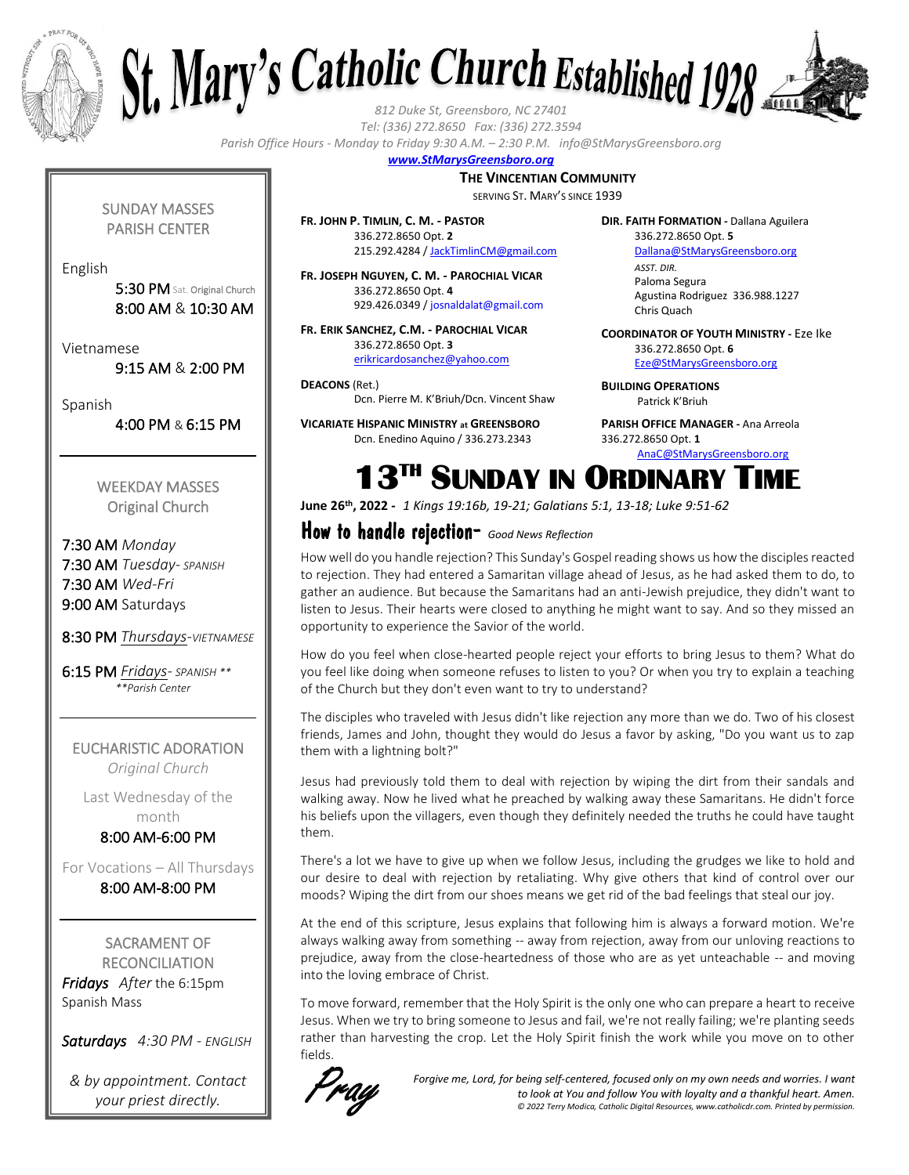



*Tel: (336) 272.8650 Fax: (336) 272.3594*

*Parish Office Hours - Monday to Friday 9:30 A.M. – 2:30 P.M. info@StMarysGreensboro.org*

## *www.StMarysGreensboro.org*

#### **THE VINCENTIAN COMMUNITY**

SERVING ST. MARY'S SINCE 1939

**FR. JOHN P. TIMLIN, C. M. - PASTOR** 336.272.8650 Opt. **2** 215.292.4284 / JackTimlinCM@gmail.com

**FR. JOSEPH NGUYEN, C. M. - PAROCHIAL VICAR** 336.272.8650 Opt. **4** 929.426.0349 / josnaldalat@gmail.com

**FR. ERIK SANCHEZ, C.M. - PAROCHIAL VICAR** 336.272.8650 Opt. **3** erikricardosanchez@yahoo.com

**DEACONS** (Ret.) Dcn. Pierre M. K'Briuh/Dcn. Vincent Shaw

**VICARIATE HISPANIC MINISTRY at GREENSBORO** Dcn. Enedino Aquino / 336.273.2343

**DIR. FAITH FORMATION -** Dallana Aguilera 336.272.8650 Opt. **5**

> Dallana@StMarysGreensboro.org *ASST. DIR.* Paloma Segura Agustina Rodriguez 336.988.1227 Chris Quach

**COORDINATOR OF YOUTH MINISTRY -** Eze Ike 336.272.8650 Opt. **6** Eze@StMarysGreensboro.org

**BUILDING OPERATIONS**  Patrick K'Briuh

**PARISH OFFICE MANAGER -** Ana Arreola 336.272.8650 Opt. **1** AnaC@StMarysGreensboro.org

**13TH SUNDAY IN ORDINARY TIME** 

**June 26th, 2022 -** *1 Kings 19:16b, 19-21; Galatians 5:1, 13-18; Luke 9:51-62*

## How to handle rejection- *Good News Reflection*

How well do you handle rejection? This Sunday's Gospel reading shows us how the disciples reacted to rejection. They had entered a Samaritan village ahead of Jesus, as he had asked them to do, to gather an audience. But because the Samaritans had an anti-Jewish prejudice, they didn't want to listen to Jesus. Their hearts were closed to anything he might want to say. And so they missed an opportunity to experience the Savior of the world.

How do you feel when close-hearted people reject your efforts to bring Jesus to them? What do you feel like doing when someone refuses to listen to you? Or when you try to explain a teaching of the Church but they don't even want to try to understand?

The disciples who traveled with Jesus didn't like rejection any more than we do. Two of his closest friends, James and John, thought they would do Jesus a favor by asking, "Do you want us to zap them with a lightning bolt?"

Jesus had previously told them to deal with rejection by wiping the dirt from their sandals and walking away. Now he lived what he preached by walking away these Samaritans. He didn't force his beliefs upon the villagers, even though they definitely needed the truths he could have taught them.

There's a lot we have to give up when we follow Jesus, including the grudges we like to hold and our desire to deal with rejection by retaliating. Why give others that kind of control over our moods? Wiping the dirt from our shoes means we get rid of the bad feelings that steal our joy.

At the end of this scripture, Jesus explains that following him is always a forward motion. We're always walking away from something -- away from rejection, away from our unloving reactions to prejudice, away from the close-heartedness of those who are as yet unteachable -- and moving into the loving embrace of Christ.

To move forward, remember that the Holy Spirit is the only one who can prepare a heart to receive Jesus. When we try to bring someone to Jesus and fail, we're not really failing; we're planting seeds rather than harvesting the crop. Let the Holy Spirit finish the work while you move on to other fields.



*Forgive me, Lord, for being self-centered, focused only on my own needs and worries. I want to look at You and follow You with loyalty and a thankful heart. Amen. © 2022 Terry Modica, Catholic Digital Resources, www.catholicdr.com. Printed by permission.*

SUNDAY MASSES PARISH CENTER

English

5:30 PM Sat. Original Church 8:00 AM & 10:30 AM

Vietnamese

9:15 AM & 2:00 PM

Spanish

4:00 PM & 6:15 PM

WEEKDAY MASSES Original Church

7:30 AM *Monday* 7:30 AM *Tuesday- SPANISH* 7:30 AM *Wed-Fri* 9:00 AM Saturdays

8:30 PM *Thursdays-VIETNAMESE*

6:15 PM *Fridays- SPANISH \*\* \*\*Parish Center*

EUCHARISTIC ADORATION *Original Church*

Last Wednesday of the month

8:00 AM-6:00 PM

For Vocations – All Thursdays 8:00 AM-8:00 PM

SACRAMENT OF **RECONCILIATION** *Fridays After* the 6:15pm Spanish Mass

*Saturdays 4:30 PM - ENGLISH*

*& by appointment. Contact your priest directly.*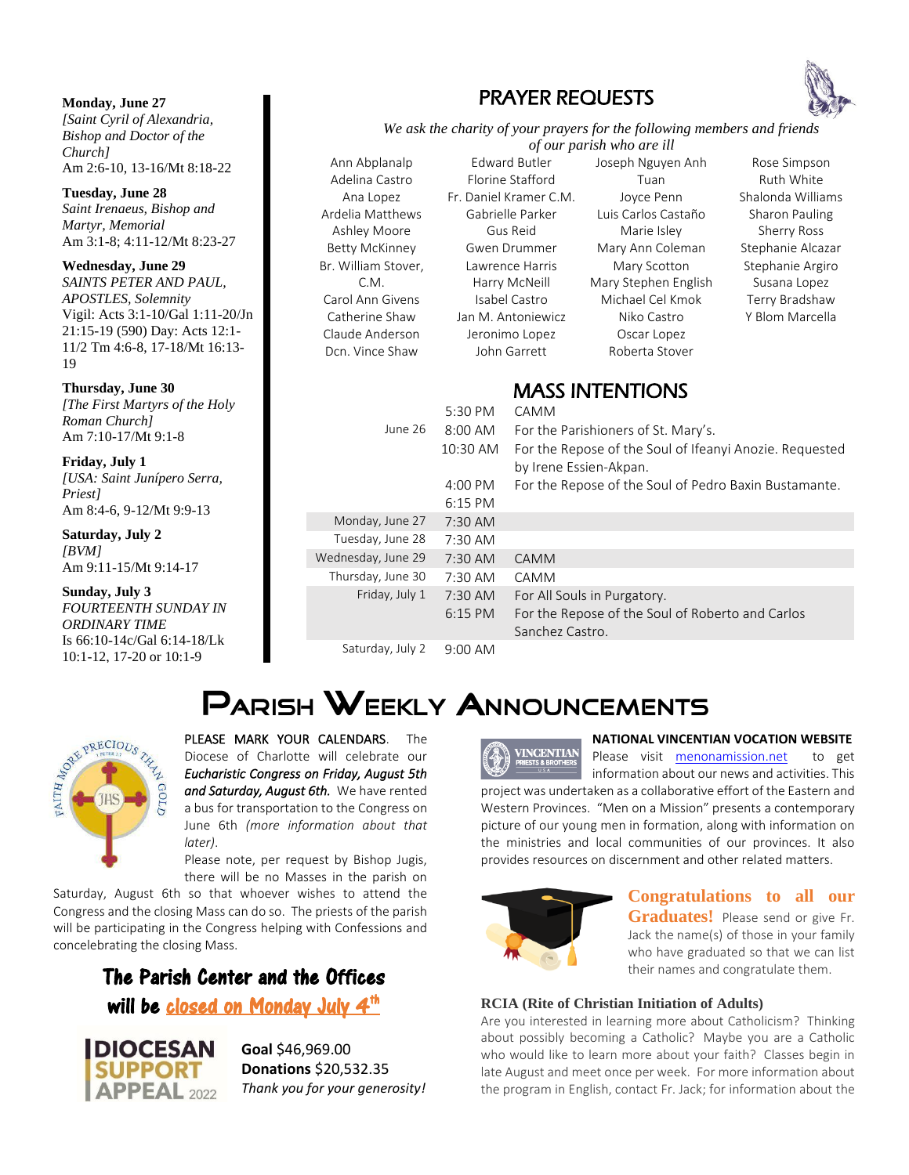**Monday, June 27** *[Saint Cyril of Alexandria, Bishop and Doctor of the Church]*  Am 2:6-10, 13-16/Mt 8:18-22

**Tuesday, June 28** *Saint Irenaeus, Bishop and Martyr, Memorial*  Am 3:1-8; 4:11-12/Mt 8:23-27

**Wednesday, June 29** *SAINTS PETER AND PAUL, APOSTLES, Solemnity*  Vigil: Acts 3:1-10/Gal 1:11-20/Jn 21:15-19 (590) Day: Acts 12:1- 11/2 Tm 4:6-8, 17-18/Mt 16:13- 19

#### **Thursday, June 30**

*[The First Martyrs of the Holy Roman Church]*  Am 7:10-17/Mt 9:1-8

#### **Friday, July 1**

*[USA: Saint Junípero Serra, Priest]* Am 8:4-6, 9-12/Mt 9:9-13

### **Saturday, July 2**

*[BVM]* Am 9:11-15/Mt 9:14-17

#### **Sunday, July 3**

REAL PRECIOUS

*FOURTEENTH SUNDAY IN ORDINARY TIME* Is 66:10-14c/Gal 6:14-18/Lk 10:1-12, 17-20 or 10:1-9

**DIOCESAN** 

**APPEAL** 2022

PLEASE MARK YOUR CALENDARS. The Diocese of Charlotte will celebrate our *Eucharistic Congress on Friday, August 5th and Saturday, August 6th.* We have rented a bus for transportation to the Congress on June 6th *(more information about that later)*.

Please note, per request by Bishop Jugis, there will be no Masses in the parish on

Saturday, August 6th so that whoever wishes to attend the Congress and the closing Mass can do so. The priests of the parish will be participating in the Congress helping with Confessions and concelebrating the closing Mass.

## The Parish Center and the Offices will be <u>closed on Monday July 4<sup>th</sup></u>

**Goal** \$46,969.00 **Donations** \$20,532.35 *Thank you for your generosity!*

## PRAYER REQUESTS

*We ask the charity of your prayers for the following members and friends of our parish who are ill*

Ann Abplanalp Adelina Castro Ana Lopez Ardelia Matthews Ashley Moore Betty McKinney Br. William Stover, C.M. Carol Ann Givens Catherine Shaw Claude Anderson Dcn. Vince Shaw

Edward Butler Florine Stafford Fr. Daniel Kramer C.M. Gabrielle Parker Gus Reid Gwen Drummer Lawrence Harris Harry McNeill Isabel Castro Jan M. Antoniewicz Jeronimo Lopez John Garrett

Joseph Nguyen Anh Tuan Joyce Penn Luis Carlos Castaño Marie Isley Mary Ann Coleman Mary Scotton Mary Stephen English Michael Cel Kmok Niko Castro Oscar Lopez Roberta Stover

Rose Simpson Ruth White Shalonda Williams Sharon Pauling Sherry Ross Stephanie Alcazar Stephanie Argiro Susana Lopez Terry Bradshaw Y Blom Marcella

## MASS INITENITIONS

| 5:30 PM                | <b>CAMM</b>                                                                                        |
|------------------------|----------------------------------------------------------------------------------------------------|
| 8:00 AM                | For the Parishioners of St. Mary's.                                                                |
| 10:30 AM               | For the Repose of the Soul of Ifeanyi Anozie. Requested<br>by Irene Essien-Akpan.                  |
| $4:00 \text{ PM}$      | For the Repose of the Soul of Pedro Baxin Bustamante.                                              |
| $6:15$ PM              |                                                                                                    |
| $7:30$ AM              |                                                                                                    |
| 7:30 AM                |                                                                                                    |
| $7:30$ AM              | <b>CAMM</b>                                                                                        |
| $7:30$ AM              | <b>CAMM</b>                                                                                        |
| $7:30$ AM<br>$6:15$ PM | For All Souls in Purgatory.<br>For the Repose of the Soul of Roberto and Carlos<br>Sanchez Castro. |
|                        |                                                                                                    |

Saturday, July 2 9:00 AM

# PARISH WEEKLY ANNOUNCEMENTS



#### **NATIONAL VINCENTIAN VOCATION WEBSITE**

Please visit menonamission.net to get information about our news and activities. This project was undertaken as a collaborative effort of the Eastern and Western Provinces. "Men on a Mission" presents a contemporary picture of our young men in formation, along with information on the ministries and local communities of our provinces. It also provides resources on discernment and other related matters.



## **Congratulations to all our Graduates!** Please send or give Fr. Jack the name(s) of those in your family who have graduated so that we can list their names and congratulate them.

## **RCIA (Rite of Christian Initiation of Adults)**

Are you interested in learning more about Catholicism? Thinking about possibly becoming a Catholic? Maybe you are a Catholic who would like to learn more about your faith? Classes begin in late August and meet once per week. For more information about the program in English, contact Fr. Jack; for information about the

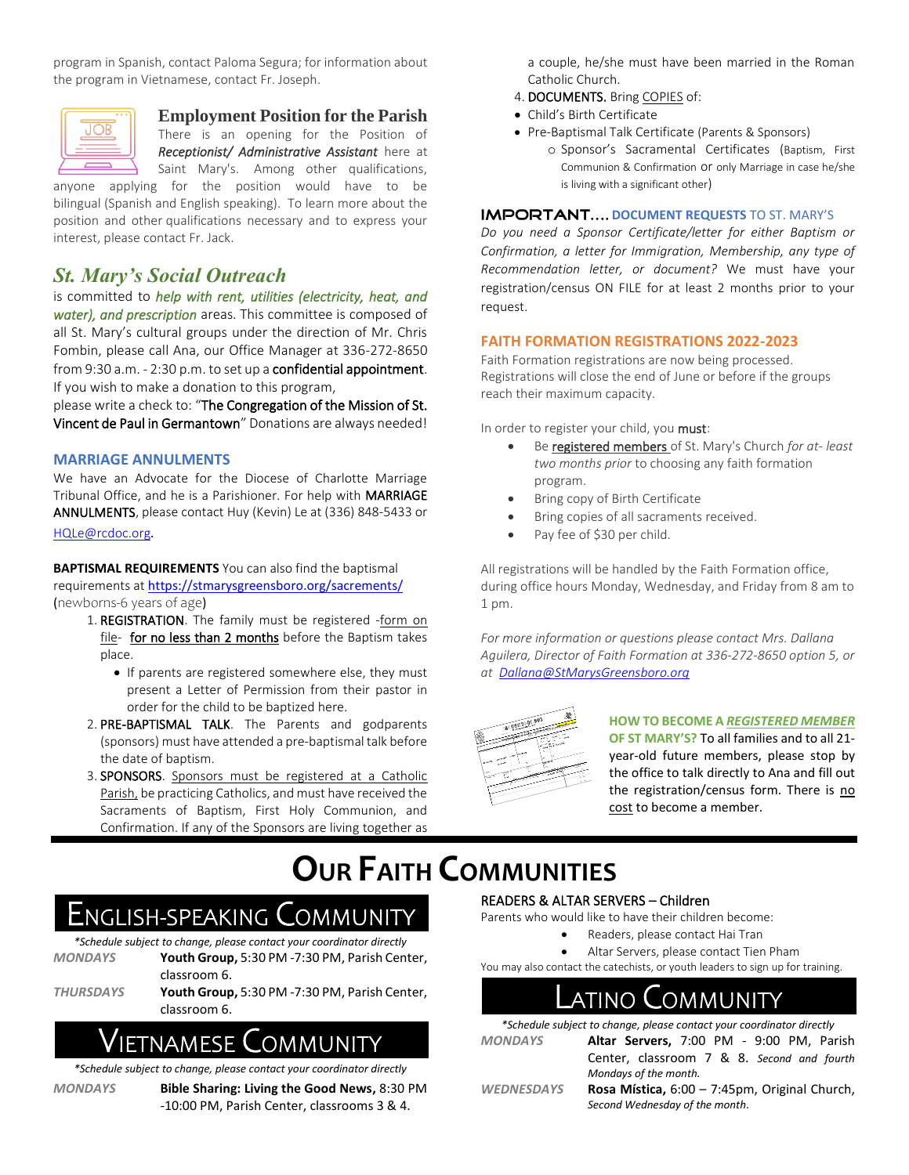program in Spanish, contact Paloma Segura; for information about the program in Vietnamese, contact Fr. Joseph.



## **Employment Position for the Parish**

There is an opening for the Position of *Receptionist/ Administrative Assistant* here at Saint Mary's. Among other qualifications,

anyone applying for the position would have to be bilingual (Spanish and English speaking). To learn more about the position and other qualifications necessary and to express your interest, please contact Fr. Jack.

## *St. Mary's Social Outreach*

is committed to *help with rent, utilities (electricity, heat, and water), and prescription* areas. This committee is composed of all St. Mary's cultural groups under the direction of Mr. Chris Fombin, please call Ana, our Office Manager at 336-272-8650 from 9:30 a.m. - 2:30 p.m. to set up a confidential appointment. If you wish to make a donation to this program,

please write a check to: "The Congregation of the Mission of St. Vincent de Paul in Germantown" Donations are always needed!

## **MARRIAGE ANNULMENTS**

We have an Advocate for the Diocese of Charlotte Marriage Tribunal Office, and he is a Parishioner. For help with MARRIAGE ANNULMENTS, please contact Huy (Kevin) Le at (336) 848-5433 or HQLe@rcdoc.org*.*

**BAPTISMAL REQUIREMENTS** You can also find the baptismal requirements at https://stmarysgreensboro.org/sacrements/ (newborns-6 years of age)

- 1. REGISTRATION. The family must be registered -form on file- for no less than 2 months before the Baptism takes place.
	- If parents are registered somewhere else, they must present a Letter of Permission from their pastor in order for the child to be baptized here.
- 2. PRE-BAPTISMAL TALK. The Parents and godparents (sponsors) must have attended a pre-baptismal talk before the date of baptism.
- 3. SPONSORS. Sponsors must be registered at a Catholic Parish, be practicing Catholics, and must have received the Sacraments of Baptism, First Holy Communion, and Confirmation. If any of the Sponsors are living together as

a couple, he/she must have been married in the Roman Catholic Church.

- 4. DOCUMENTS. Bring COPIES of:
- Child's Birth Certificate
- Pre-Baptismal Talk Certificate (Parents & Sponsors)
	- o Sponsor's Sacramental Certificates (Baptism, First Communion & Confirmation or only Marriage in case he/she is living with a significant other)

### **IMPORTANT.... DOCUMENT REQUESTS TO ST. MARY'S**

*Do you need a Sponsor Certificate/letter for either Baptism or Confirmation, a letter for Immigration, Membership, any type of Recommendation letter, or document?* We must have your registration/census ON FILE for at least 2 months prior to your request.

### **FAITH FORMATION REGISTRATIONS 2022-2023**

Faith Formation registrations are now being processed. Registrations will close the end of June or before if the groups reach their maximum capacity.

In order to register your child, you must:

- Be registered members of St. Mary's Church *for at- least two months prior* to choosing any faith formation program.
- Bring copy of Birth Certificate
- Bring copies of all sacraments received.
- Pay fee of \$30 per child.

All registrations will be handled by the Faith Formation office, during office hours Monday, Wednesday, and Friday from 8 am to 1 pm.

*For more information or questions please contact Mrs. Dallana Aguilera, Director of Faith Formation at 336-272-8650 option 5, or at Dallana@StMarysGreensboro.org*



**HOW TO BECOME A** *REGISTERED MEMBER* **OF ST MARY'S?** To all families and to all 21 year-old future members, please stop by the office to talk directly to Ana and fill out the registration/census form. There is no cost to become a member.

# **OUR FAITH COMMUNITIES**

## ENGLISH-SPEAKING COMMUNITY

*\*Schedule subject to change, please contact your coordinator directly MONDAYS* **Youth Group,** 5:30 PM -7:30 PM, Parish Center,

classroom 6. *THURSDAYS* **Youth Group,** 5:30 PM -7:30 PM, Parish Center, classroom 6.

## NAMESE **C**OMMUNITY

*\*Schedule subject to change, please contact your coordinator directly*

- 
- *MONDAYS* **Bible Sharing: Living the Good News,** 8:30 PM -10:00 PM, Parish Center, classrooms 3 & 4.

### READERS & ALTAR SERVERS – Children

Parents who would like to have their children become:

- Readers, please contact Hai Tran
- Altar Servers, please contact Tien Pham

You may also contact the catechists, or youth leaders to sign up for training.

## atino  $\bigcap$ ommunity

| *Schedule subject to change, please contact your coordinator directly |                                               |  |  |
|-----------------------------------------------------------------------|-----------------------------------------------|--|--|
| <b>MONDAYS</b>                                                        | Altar Servers, 7:00 PM - 9:00 PM, Parish      |  |  |
|                                                                       | Center, classroom 7 & 8. Second and fourth    |  |  |
|                                                                       | Mondays of the month.                         |  |  |
| <b>WEDNESDAYS</b>                                                     | Rosa Mística, 6:00 - 7:45pm, Original Church, |  |  |
|                                                                       | Second Wednesday of the month.                |  |  |